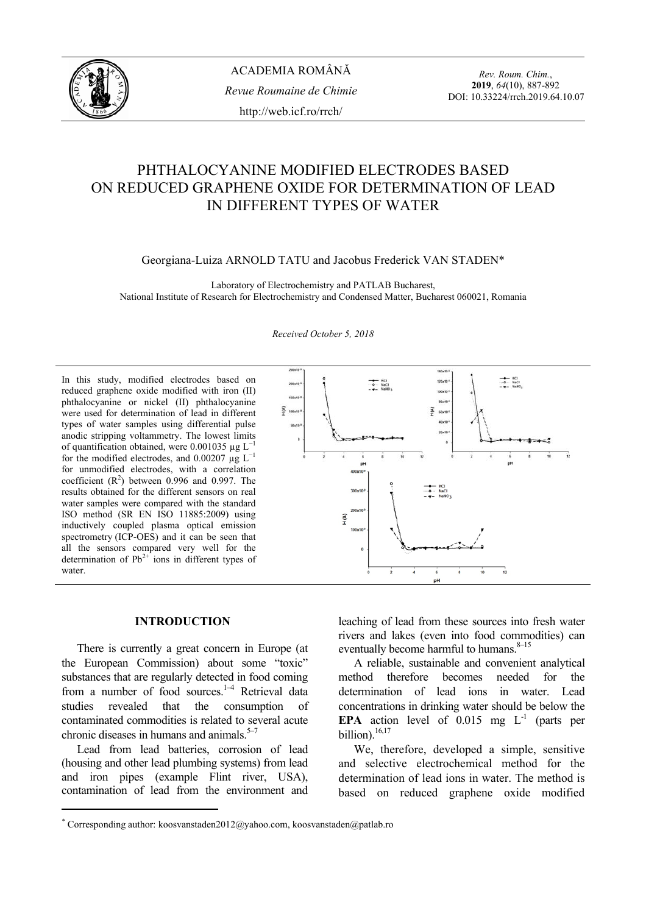

*Rev. Roum. Chim.*, **2019**, *64*(10), 887-892 DOI: 10.33224/rrch.2019.64.10.07

# PHTHALOCYANINE MODIFIED ELECTRODES BASED ON REDUCED GRAPHENE OXIDE FOR DETERMINATION OF LEAD IN DIFFERENT TYPES OF WATER

Georgiana-Luiza ARNOLD TATU and Jacobus Frederick VAN STADEN\*

Laboratory of Electrochemistry and PATLAB Bucharest, National Institute of Research for Electrochemistry and Condensed Matter, Bucharest 060021, Romania

#### *Received October 5, 2018*

In this study, modified electrodes based on reduced graphene oxide modified with iron (II) phthalocyanine or nickel (II) phthalocyanine were used for determination of lead in different types of water samples using differential pulse anodic stripping voltammetry. The lowest limits of quantification obtained, were 0.001035 µg  $L^{-1}$ for the modified electrodes, and  $0.00207 \mu g L^{-1}$ for unmodified electrodes, with a correlation coefficient  $(R^2)$  between 0.996 and 0.997. The results obtained for the different sensors on real water samples were compared with the standard ISO method (SR EN ISO 11885:2009) using inductively coupled plasma optical emission spectrometry (ICP-OES) and it can be seen that all the sensors compared very well for the determination of  $Pb^{2+}$  ions in different types of water.



#### **INTRODUCTION\***

 There is currently a great concern in Europe (at the European Commission) about some "toxic" substances that are regularly detected in food coming from a number of food sources. $1-4$  Retrieval data studies revealed that the consumption of contaminated commodities is related to several acute chronic diseases in humans and animals. $5-7$ 

Lead from lead batteries, corrosion of lead (housing and other lead plumbing systems) from lead and iron pipes (example Flint river, USA), contamination of lead from the environment and

leaching of lead from these sources into fresh water rivers and lakes (even into food commodities) can eventually become harmful to humans. $8-15$ 

A reliable, sustainable and convenient analytical method therefore becomes needed for the determination of lead ions in water. Lead concentrations in drinking water should be below the **EPA** action level of  $0.015$  mg  $L^{-1}$  (parts per billion).<sup>16,17</sup>

We, therefore, developed a simple, sensitive and selective electrochemical method for the determination of lead ions in water. The method is based on reduced graphene oxide modified

<sup>\*</sup> Corresponding author: koosvanstaden2012@yahoo.com, koosvanstaden@patlab.ro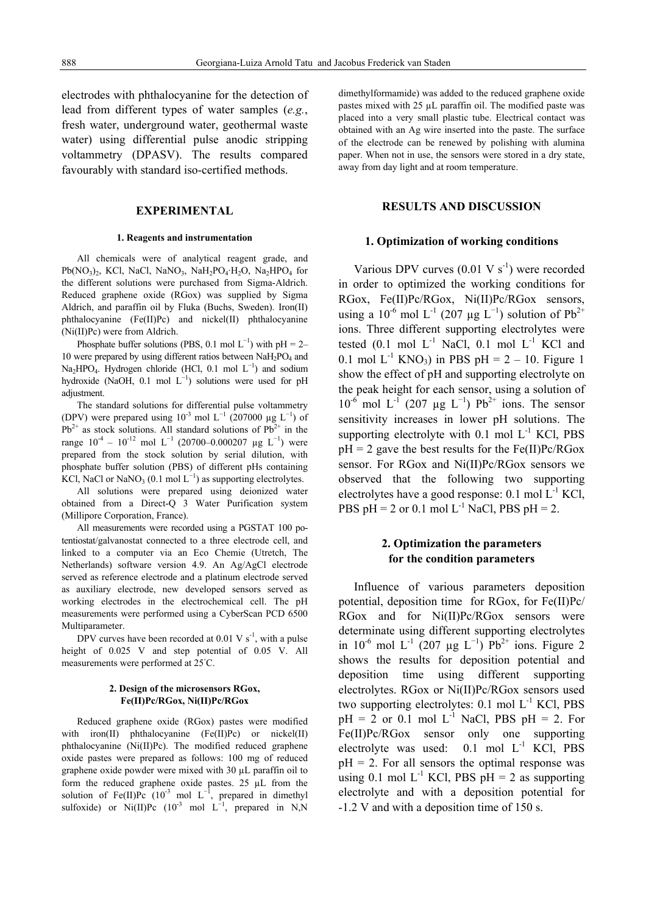electrodes with phthalocyanine for the detection of lead from different types of water samples (*e.g.*, fresh water, underground water, geothermal waste water) using differential pulse anodic stripping voltammetry (DPASV). The results compared favourably with standard iso-certified methods.

### **EXPERIMENTAL**

#### **1. Reagents and instrumentation**

 All chemicals were of analytical reagent grade, and  $Pb(NO_3)$ <sub>2</sub>, KCl, NaCl, NaNO<sub>3</sub>, NaH<sub>2</sub>PO<sub>4</sub>·H<sub>2</sub>O, Na<sub>2</sub>HPO<sub>4</sub> for the different solutions were purchased from Sigma-Aldrich. Reduced graphene oxide (RGox) was supplied by Sigma Aldrich, and paraffin oil by Fluka (Buchs, Sweden). Iron(II) phthalocyanine (Fe(II)Pc) and nickel(II) phthalocyanine (Ni(II)Pc) were from Aldrich.

Phosphate buffer solutions (PBS, 0.1 mol  $L^{-1}$ ) with pH = 2– 10 were prepared by using different ratios between  $N_aH_2PO_4$  and Na<sub>2</sub>HPO<sub>4</sub>. Hydrogen chloride (HCl, 0.1 mol  $L^{-1}$ ) and sodium hydroxide (NaOH, 0.1 mol  $L^{-1}$ ) solutions were used for pH adjustment.

The standard solutions for differential pulse voltammetry (DPV) were prepared using  $10^{-3}$  mol L<sup>-1</sup> (207000 µg L<sup>-1</sup>) of  $Pb^{2+}$  as stock solutions. All standard solutions of  $Pb^{2+}$  in the range  $10^{-4} - 10^{-12}$  mol L<sup>-1</sup> (20700–0.000207 µg L<sup>-1</sup>) were prepared from the stock solution by serial dilution, with phosphate buffer solution (PBS) of different pHs containing KCl, NaCl or NaNO<sub>3</sub> (0.1 mol  $L^{-1}$ ) as supporting electrolytes.

All solutions were prepared using deionized water obtained from a Direct-Q 3 Water Purification system (Millipore Corporation, France).

All measurements were recorded using a PGSTAT 100 potentiostat/galvanostat connected to a three electrode cell, and linked to a computer via an Eco Chemie (Utretch, The Netherlands) software version 4.9. An Ag/AgCl electrode served as reference electrode and a platinum electrode served as auxiliary electrode, new developed sensors served as working electrodes in the electrochemical cell. The pH measurements were performed using a CyberScan PCD 6500 Multiparameter.

DPV curves have been recorded at 0.01 V  $s^{-1}$ , with a pulse height of 0.025 V and step potential of 0.05 V. All measurements were performed at 25°C.

#### **2. Design of the microsensors RGox, Fe(II)Pc/RGox, Ni(II)Pc/RGox**

 Reduced graphene oxide (RGox) pastes were modified with iron(II) phthalocyanine  $(Fe(II)Pc)$  or nickel(II) phthalocyanine (Ni(II)Pc). The modified reduced graphene oxide pastes were prepared as follows: 100 mg of reduced graphene oxide powder were mixed with 30 µL paraffin oil to form the reduced graphene oxide pastes. 25 µL from the solution of Fe(II)Pc  $(10^{-3} \text{ mol } L^{-1})$ , prepared in dimethyl sulfoxide) or Ni(II)Pc  $(10^{-3} \text{ mol } L^{-1}$ , prepared in N,N dimethylformamide) was added to the reduced graphene oxide pastes mixed with 25 µL paraffin oil. The modified paste was placed into a very small plastic tube. Electrical contact was obtained with an Ag wire inserted into the paste. The surface of the electrode can be renewed by polishing with alumina paper. When not in use, the sensors were stored in a dry state, away from day light and at room temperature.

### **RESULTS AND DISCUSSION**

### **1. Optimization of working conditions**

Various DPV curves  $(0.01 \text{ V s}^{-1})$  were recorded in order to optimized the working conditions for RGox, Fe(II)Pc/RGox, Ni(II)Pc/RGox sensors, using a 10<sup>-6</sup> mol L<sup>-1</sup> (207 µg L<sup>-1</sup>) solution of Pb<sup>2+</sup> ions. Three different supporting electrolytes were tested  $(0.1 \text{ mol } L^{-1}$  NaCl,  $0.1 \text{ mol } L^{-1}$  KCl and 0.1 mol  $L^{-1}$  KNO<sub>3</sub>) in PBS pH = 2 – 10. Figure 1 show the effect of pH and supporting electrolyte on the peak height for each sensor, using a solution of  $10^{-6}$  mol L<sup>-1</sup> (207 μg L<sup>-1</sup>) Pb<sup>2+</sup> ions. The sensor sensitivity increases in lower pH solutions. The supporting electrolyte with  $0.1$  mol  $L^{-1}$  KCl, PBS  $pH = 2$  gave the best results for the Fe(II)Pc/RGox sensor. For RGox and Ni(II)Pc/RGox sensors we observed that the following two supporting electrolytes have a good response:  $0.1$  mol  $L^{-1}$  KCl, PBS pH = 2 or 0.1 mol  $L^{-1}$  NaCl, PBS pH = 2.

## **2. Optimization the parameters for the condition parameters**

 Influence of various parameters deposition potential, deposition time for RGox, for Fe(II)Pc/ RGox and for Ni(II)Pc/RGox sensors were determinate using different supporting electrolytes in 10<sup>-6</sup> mol L<sup>-1</sup> (207 µg L<sup>-1</sup>) Pb<sup>2+</sup> ions. Figure 2 shows the results for deposition potential and deposition time using different supporting electrolytes. RGox or Ni(II)Pc/RGox sensors used two supporting electrolytes:  $0.1$  mol  $L^{-1}$  KCl, PBS  $pH = 2$  or 0.1 mol  $L^{-1}$  NaCl, PBS  $pH = 2$ . For Fe(II)Pc/RGox sensor only one supporting electrolyte was used:  $0.1$  mol  $L^{-1}$  KCl, PBS  $pH = 2$ . For all sensors the optimal response was using 0.1 mol  $L^{-1}$  KCl, PBS pH = 2 as supporting electrolyte and with a deposition potential for -1.2 V and with a deposition time of 150 s.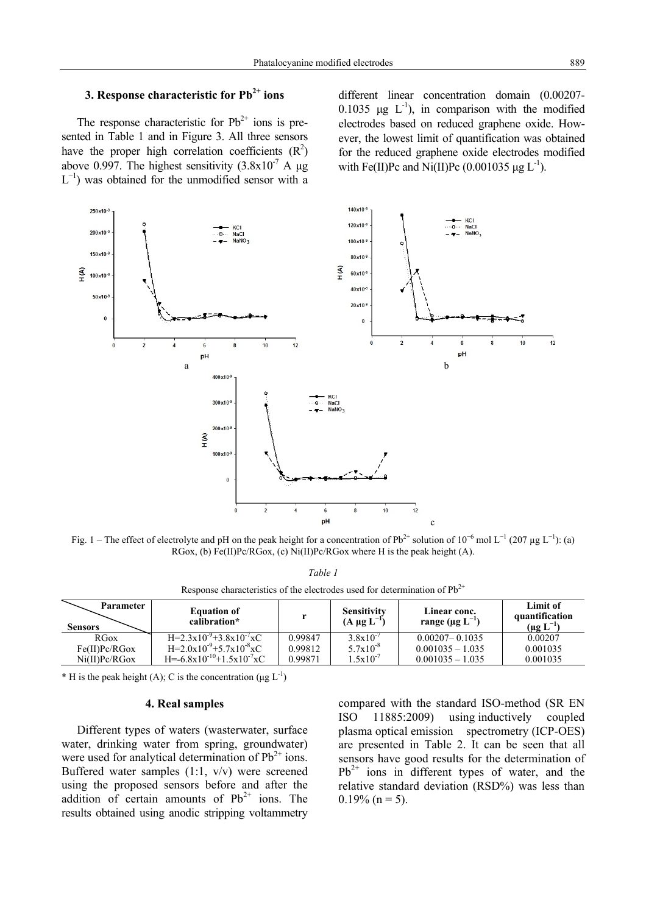# **3. Response characteristic for Pb<sup>2+</sup> ions**

The response characteristic for  $Pb^{2+}$  ions is presented in Table 1 and in Figure 3. All three sensors have the proper high correlation coefficients  $(R^2)$ above 0.997. The highest sensitivity  $(3.8x10<sup>-7</sup> A \mu g)$  $L^{-1}$ ) was obtained for the unmodified sensor with a different linear concentration domain (0.00207- 0.1035 μg  $L^{-1}$ ), in comparison with the modified electrodes based on reduced graphene oxide. However, the lowest limit of quantification was obtained for the reduced graphene oxide electrodes modified with Fe(II)Pc and Ni(II)Pc  $(0.001035 \mu g L^{-1})$ .



Fig. 1 – The effect of electrolyte and pH on the peak height for a concentration of  $Pb^{2+}$  solution of  $10^{-6}$  mol L<sup>-1</sup> (207 µg L<sup>-1</sup>): (a)  $RGox$ , (b)  $Fe(II)Pe/RGox$ , (c)  $Ni(II)Pe/RGox$  where H is the peak height (A).

| TIBULUUD BIININDIBIIURD UI RIB BIBBRIUMDU RUBM IUI MBIBIIIIINIIUI UI I U |                                    |         |                                          |                                                   |                                                |  |  |  |
|--------------------------------------------------------------------------|------------------------------------|---------|------------------------------------------|---------------------------------------------------|------------------------------------------------|--|--|--|
| Parameter<br><b>Sensors</b>                                              | <b>Equation of</b><br>calibration* |         | <b>Sensitivity</b><br>$(A \mu g L^{-1})$ | Linear conc.<br>range ( $\mu$ g L <sup>-1</sup> ) | Limit of<br>quantification<br>$(\mu g L^{-1})$ |  |  |  |
| <b>RGox</b>                                                              | $H=2.3x10^{-9}+3.8x10^{-7}xC$      | 0.99847 | $3.8x10^{-7}$                            | $0.00207 - 0.1035$                                | 0.00207                                        |  |  |  |
| $Fe(II)$ $Pe/RG$ ox                                                      | $H=2.0x10^{-9}+5.7x10^{-8}xC$      | 0.99812 | $5.7 \times 10^{-8}$                     | $0.001035 - 1.035$                                | 0.001035                                       |  |  |  |
| $Ni(II)$ $Pc/R$ $Gox$                                                    | $H=-6.8x10^{-10}+1.5x10^{-7}xC$    | 0.99871 | $1.5 \times 10^{-7}$                     | $0.001035 - 1.035$                                | 0.001035                                       |  |  |  |

*Table 1* Response characteristics of the electrodes used for determination of  $Ph^{2+}$ 

\* H is the peak height (A); C is the concentration ( $\mu$ g L<sup>-1</sup>)

#### **4. Real samples**

 Different types of waters (wasterwater, surface water, drinking water from spring, groundwater) were used for analytical determination of  $Pb^{2+}$  ions. Buffered water samples (1:1, v/v) were screened using the proposed sensors before and after the addition of certain amounts of  $Pb^{2+}$  ions. The results obtained using anodic stripping voltammetry compared with the standard ISO-method (SR EN ISO 11885:2009) using inductively coupled plasma optical emission spectrometry (ICP-OES) are presented in Table 2. It can be seen that all sensors have good results for the determination of  $Pb^{2+}$  ions in different types of water, and the relative standard deviation (RSD%) was less than  $0.19\%$  (n = 5).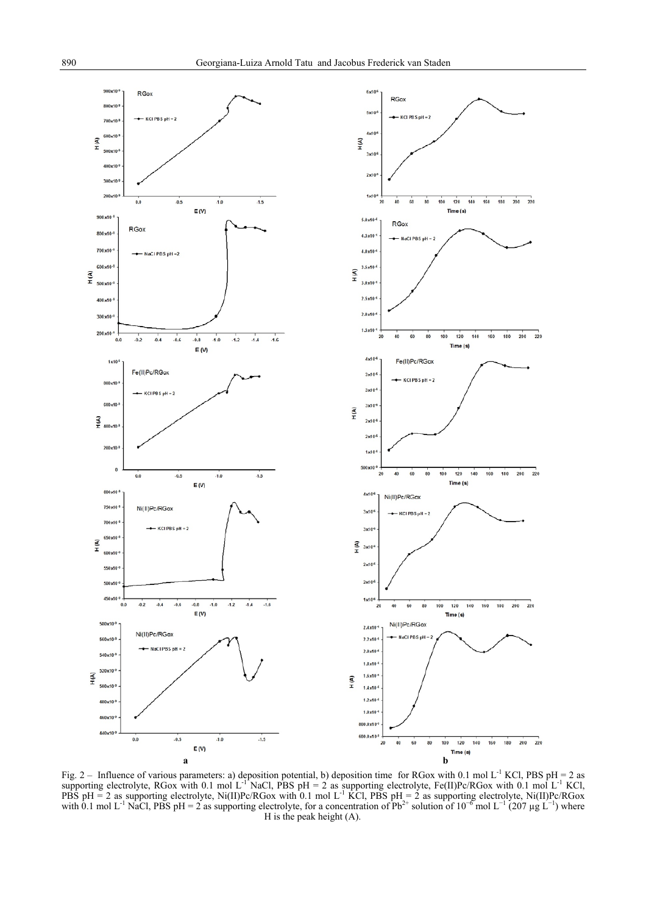

Fig. 2 – Influence of various parameters: a) deposition potential, b) deposition time for RGox with 0.1 mol L<sup>-1</sup> KCl, PBS pH = 2 as supporting electrolyte, RGox with 0.1 mol L<sup>-1</sup> NaCl, PBS pH = 2 as supporting electrolyte, Fe(II)Pc/RGox with 0.1 mol L<sup>-1</sup> KCl, PBS pH = 2 as supporting electrolyte, Ni(II)Pc/RGox with 0.1 mol L<sup>-1</sup> KCl, PBS pH = 2 as supporting electrolyte, Ni(II)Pc/RGox with 0.1 mol L<sup>-1</sup> NaCl, PBS pH = 2 as supporting electrolyte, for a concentration of Pb<sup>2+</sup> solution of 10<sup>-6</sup> mol L<sup>-1</sup> (207 µg L<sup>-1</sup>) where H is the peak height (A).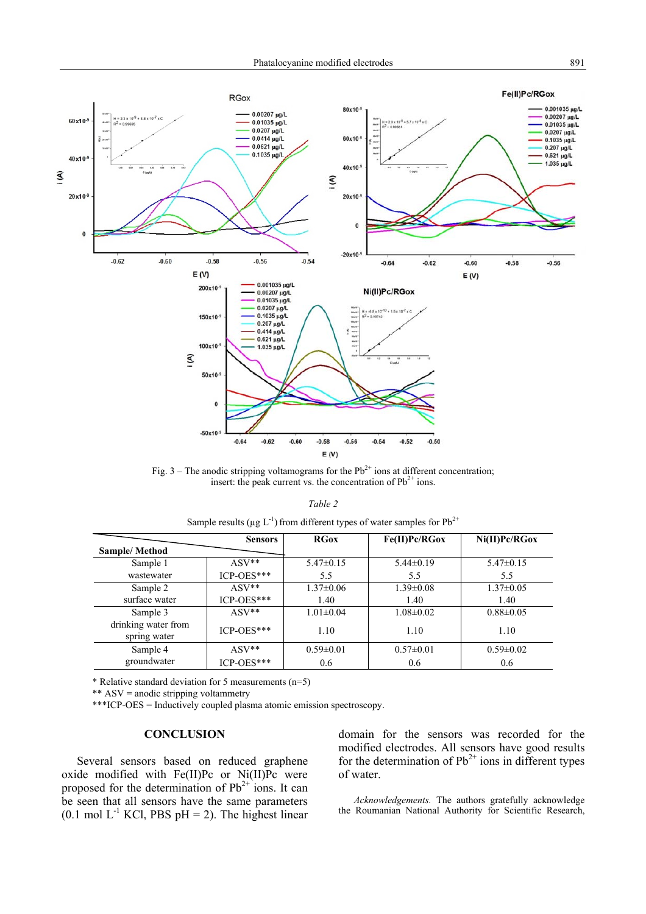

Fig. 3 – The anodic stripping voltamograms for the  $Pb^{2+}$  ions at different concentration; insert: the peak current vs. the concentration of  $Pb^{2+}$  ions.

| anı |  |
|-----|--|
|-----|--|

|                                     | <b>Sensors</b> | <b>RGox</b>     | Fe(II)Pc/RGox   | $Ni(II)$ $Pc/R$ $Gox$ |
|-------------------------------------|----------------|-----------------|-----------------|-----------------------|
| <b>Sample/Method</b>                |                |                 |                 |                       |
| Sample 1                            | $ASV**$        | $5.47\pm0.15$   | $5.44\pm0.19$   | $5.47\pm0.15$         |
| wastewater                          | $ICP-OES***$   | 5.5             | 5.5             | 5.5                   |
| Sample 2                            | $ASV**$        | $1.37 \pm 0.06$ | $1.39 \pm 0.08$ | $1.37 \pm 0.05$       |
| surface water                       | $ICP-OES***$   | 1.40            | 1.40            | 1.40                  |
| Sample 3                            | $ASV**$        | $1.01 \pm 0.04$ | $1.08 \pm 0.02$ | $0.88 \pm 0.05$       |
| drinking water from<br>spring water | $ICP-OES***$   | 1.10            | 1.10            | 1.10                  |
| Sample 4                            | $ASV**$        | $0.59 \pm 0.01$ | $0.57 \pm 0.01$ | $0.59 \pm 0.02$       |
| groundwater                         | ICP-OES***     | 0.6             | 0.6             | 0.6                   |

\* Relative standard deviation for 5 measurements (n=5)

\*\* ASV = anodic stripping voltammetry

\*\*\*ICP-OES = Inductively coupled plasma atomic emission spectroscopy.

### **CONCLUSION**

 Several sensors based on reduced graphene oxide modified with Fe(II)Pc or Ni(II)Pc were proposed for the determination of  $Pb^{2+}$  ions. It can be seen that all sensors have the same parameters  $(0.1 \text{ mol L}^{-1} \text{ KCl}, \text{PBS pH} = 2)$ . The highest linear

domain for the sensors was recorded for the modified electrodes. All sensors have good results for the determination of  $Pb^{2+}$  ions in different types of water.

*Acknowledgements.* The authors gratefully acknowledge the Roumanian National Authority for Scientific Research,